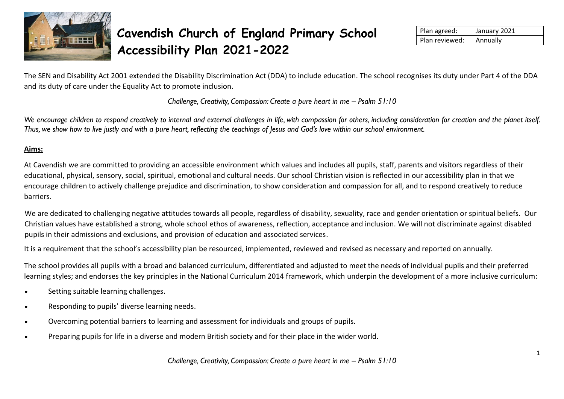

# **Cavendish Church of England Primary School Accessibility Plan 2021-2022**

| Plan agreed:   | January 2021    |
|----------------|-----------------|
| Plan reviewed: | <b>Annually</b> |

The SEN and Disability Act 2001 extended the Disability Discrimination Act (DDA) to include education. The school recognises its duty under Part 4 of the DDA and its duty of care under the Equality Act to promote inclusion.

*Challenge, Creativity, Compassion: Create a pure heart in me – Psalm 51:10* 

We encourage children to respond creatively to internal and external challenges in life, with compassion for others, including consideration for creation and the planet itself. *Thus, we show how to live justly and with a pure heart, reflecting the teachings of Jesus and God's love within our school environment.*

## **Aims:**

At Cavendish we are committed to providing an accessible environment which values and includes all pupils, staff, parents and visitors regardless of their educational, physical, sensory, social, spiritual, emotional and cultural needs. Our school Christian vision is reflected in our accessibility plan in that we encourage children to actively challenge prejudice and discrimination, to show consideration and compassion for all, and to respond creatively to reduce barriers.

We are dedicated to challenging negative attitudes towards all people, regardless of disability, sexuality, race and gender orientation or spiritual beliefs. Our Christian values have established a strong, whole school ethos of awareness, reflection, acceptance and inclusion. We will not discriminate against disabled pupils in their admissions and exclusions, and provision of education and associated services.

It is a requirement that the school's accessibility plan be resourced, implemented, reviewed and revised as necessary and reported on annually.

The school provides all pupils with a broad and balanced curriculum, differentiated and adjusted to meet the needs of individual pupils and their preferred learning styles; and endorses the key principles in the National Curriculum 2014 framework, which underpin the development of a more inclusive curriculum:

- Setting suitable learning challenges.
- Responding to pupils' diverse learning needs.
- Overcoming potential barriers to learning and assessment for individuals and groups of pupils.
- Preparing pupils for life in a diverse and modern British society and for their place in the wider world.

*Challenge, Creativity, Compassion: Create a pure heart in me – Psalm 51:10*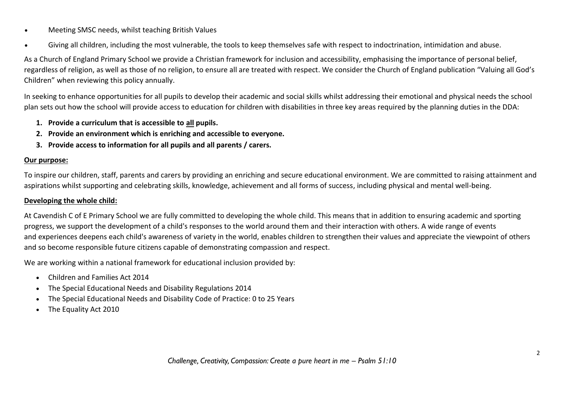- Meeting SMSC needs, whilst teaching British Values
- Giving all children, including the most vulnerable, the tools to keep themselves safe with respect to indoctrination, intimidation and abuse.

As a Church of England Primary School we provide a Christian framework for inclusion and accessibility, emphasising the importance of personal belief, regardless of religion, as well as those of no religion, to ensure all are treated with respect. We consider the Church of England publication "Valuing all God's Children" when reviewing this policy annually.

In seeking to enhance opportunities for all pupils to develop their academic and social skills whilst addressing their emotional and physical needs the school plan sets out how the school will provide access to education for children with disabilities in three key areas required by the planning duties in the DDA:

- **1. Provide a curriculum that is accessible to all pupils.**
- **2. Provide an environment which is enriching and accessible to everyone.**
- **3. Provide access to information for all pupils and all parents / carers.**

#### **Our purpose:**

To inspire our children, staff, parents and carers by providing an enriching and secure educational environment. We are committed to raising attainment and aspirations whilst supporting and celebrating skills, knowledge, achievement and all forms of success, including physical and mental well-being.

#### **Developing the whole child:**

At Cavendish C of E Primary School we are fully committed to developing the whole child. This means that in addition to ensuring academic and sporting progress, we support the development of a child's responses to the world around them and their interaction with others. A wide range of events and experiences deepens each child's awareness of variety in the world, enables children to strengthen their values and appreciate the viewpoint of others and so become responsible future citizens capable of demonstrating compassion and respect.

We are working within a national framework for educational inclusion provided by:

- Children and Families Act 2014
- The Special Educational Needs and Disability Regulations 2014
- The Special Educational Needs and Disability Code of Practice: 0 to 25 Years
- The Equality Act 2010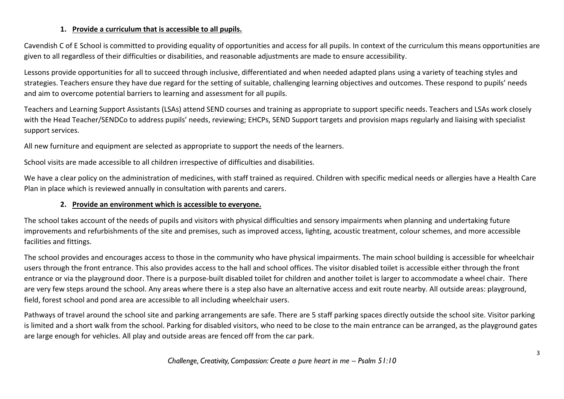#### **1. Provide a curriculum that is accessible to all pupils.**

Cavendish C of E School is committed to providing equality of opportunities and access for all pupils. In context of the curriculum this means opportunities are given to all regardless of their difficulties or disabilities, and reasonable adjustments are made to ensure accessibility.

Lessons provide opportunities for all to succeed through inclusive, differentiated and when needed adapted plans using a variety of teaching styles and strategies. Teachers ensure they have due regard for the setting of suitable, challenging learning objectives and outcomes. These respond to pupils' needs and aim to overcome potential barriers to learning and assessment for all pupils.

Teachers and Learning Support Assistants (LSAs) attend SEND courses and training as appropriate to support specific needs. Teachers and LSAs work closely with the Head Teacher/SENDCo to address pupils' needs, reviewing; EHCPs, SEND Support targets and provision maps regularly and liaising with specialist support services.

All new furniture and equipment are selected as appropriate to support the needs of the learners.

School visits are made accessible to all children irrespective of difficulties and disabilities.

We have a clear policy on the administration of medicines, with staff trained as required. Children with specific medical needs or allergies have a Health Care Plan in place which is reviewed annually in consultation with parents and carers.

## **2. Provide an environment which is accessible to everyone.**

The school takes account of the needs of pupils and visitors with physical difficulties and sensory impairments when planning and undertaking future improvements and refurbishments of the site and premises, such as improved access, lighting, acoustic treatment, colour schemes, and more accessible facilities and fittings.

The school provides and encourages access to those in the community who have physical impairments. The main school building is accessible for wheelchair users through the front entrance. This also provides access to the hall and school offices. The visitor disabled toilet is accessible either through the front entrance or via the playground door. There is a purpose-built disabled toilet for children and another toilet is larger to accommodate a wheel chair. There are very few steps around the school. Any areas where there is a step also have an alternative access and exit route nearby. All outside areas: playground, field, forest school and pond area are accessible to all including wheelchair users.

Pathways of travel around the school site and parking arrangements are safe. There are 5 staff parking spaces directly outside the school site. Visitor parking is limited and a short walk from the school. Parking for disabled visitors, who need to be close to the main entrance can be arranged, as the playground gates are large enough for vehicles. All play and outside areas are fenced off from the car park.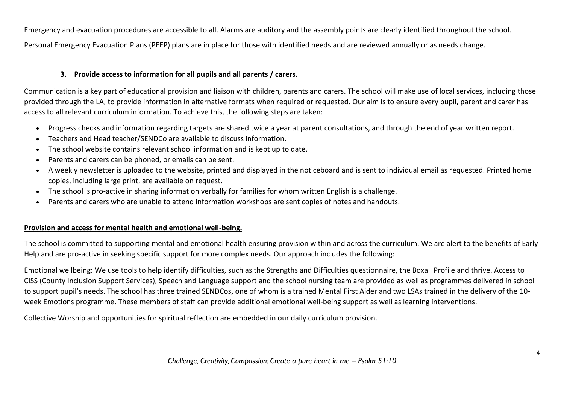Emergency and evacuation procedures are accessible to all. Alarms are auditory and the assembly points are clearly identified throughout the school. Personal Emergency Evacuation Plans (PEEP) plans are in place for those with identified needs and are reviewed annually or as needs change.

## **3. Provide access to information for all pupils and all parents / carers.**

Communication is a key part of educational provision and liaison with children, parents and carers. The school will make use of local services, including those provided through the LA, to provide information in alternative formats when required or requested. Our aim is to ensure every pupil, parent and carer has access to all relevant curriculum information. To achieve this, the following steps are taken:

- Progress checks and information regarding targets are shared twice a year at parent consultations, and through the end of year written report.
- Teachers and Head teacher/SENDCo are available to discuss information.
- The school website contains relevant school information and is kept up to date.
- Parents and carers can be phoned, or emails can be sent.
- A weekly newsletter is uploaded to the website, printed and displayed in the noticeboard and is sent to individual email as requested. Printed home copies, including large print, are available on request.
- The school is pro-active in sharing information verbally for families for whom written English is a challenge.
- Parents and carers who are unable to attend information workshops are sent copies of notes and handouts.

### **Provision and access for mental health and emotional well-being.**

The school is committed to supporting mental and emotional health ensuring provision within and across the curriculum. We are alert to the benefits of Early Help and are pro-active in seeking specific support for more complex needs. Our approach includes the following:

Emotional wellbeing: We use tools to help identify difficulties, such as the Strengths and Difficulties questionnaire, the Boxall Profile and thrive. Access to CISS (County Inclusion Support Services), Speech and Language support and the school nursing team are provided as well as programmes delivered in school to support pupil's needs. The school has three trained SENDCos, one of whom is a trained Mental First Aider and two LSAs trained in the delivery of the 10 week Emotions programme. These members of staff can provide additional emotional well-being support as well as learning interventions.

Collective Worship and opportunities for spiritual reflection are embedded in our daily curriculum provision.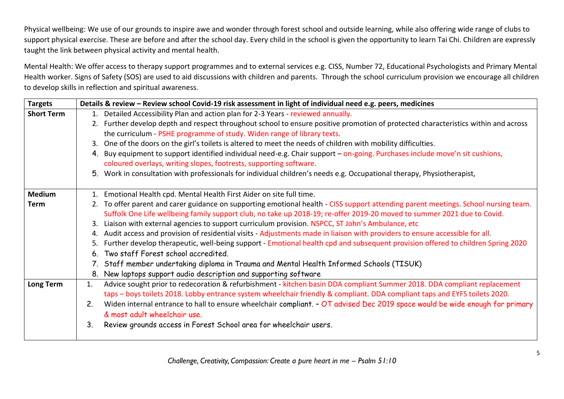Physical wellbeing: We use of our grounds to inspire awe and wonder through forest school and outside learning, while also offering wide range of clubs to support physical exercise. These are before and after the school day. Every child in the school is given the opportunity to learn Tai Chi. Children are expressly taught the link between physical activity and mental health.

Mental Health: We offer access to therapy support programmes and to external services e.g. CISS, Number 72, Educational Psychologists and Primary Mental Health worker. Signs of Safety (SOS) are used to aid discussions with children and parents. Through the school curriculum provision we encourage all children to develop skills in reflection and spiritual awareness.

| <b>Targets</b>    | Details & review - Review school Covid-19 risk assessment in light of individual need e.g. peers, medicines                  |                                                                                                                                     |
|-------------------|------------------------------------------------------------------------------------------------------------------------------|-------------------------------------------------------------------------------------------------------------------------------------|
| <b>Short Term</b> | 1. Detailed Accessibility Plan and action plan for 2-3 Years - reviewed annually.                                            |                                                                                                                                     |
|                   |                                                                                                                              | 2. Further develop depth and respect throughout school to ensure positive promotion of protected characteristics within and across  |
|                   | the curriculum - PSHE programme of study. Widen range of library texts.                                                      |                                                                                                                                     |
|                   | 3. One of the doors on the girl's toilets is altered to meet the needs of children with mobility difficulties.               |                                                                                                                                     |
|                   | 4. Buy equipment to support identified individual need-e.g. Chair support - on-going. Purchases include move'n sit cushions, |                                                                                                                                     |
|                   | coloured overlays, writing slopes, footrests, supporting software.                                                           |                                                                                                                                     |
|                   | 5. Work in consultation with professionals for individual children's needs e.g. Occupational therapy, Physiotherapist,       |                                                                                                                                     |
| <b>Medium</b>     | 1. Emotional Health cpd. Mental Health First Aider on site full time.                                                        |                                                                                                                                     |
| <b>Term</b>       |                                                                                                                              | 2. To offer parent and carer guidance on supporting emotional health - CISS support attending parent meetings. School nursing team. |
|                   | Suffolk One Life wellbeing family support club, no take up 2018-19; re-offer 2019-20 moved to summer 2021 due to Covid.      |                                                                                                                                     |
|                   | Liaison with external agencies to support curriculum provision. NSPCC, ST John's Ambulance, etc<br>3.                        |                                                                                                                                     |
|                   | Audit access and provision of residential visits - Adjustments made in liaison with providers to ensure accessible for all.  |                                                                                                                                     |
|                   | 5.                                                                                                                           | Further develop therapeutic, well-being support - Emotional health cpd and subsequent provision offered to children Spring 2020     |
|                   | 6. Two staff Forest school accredited.                                                                                       |                                                                                                                                     |
|                   | 7. Staff member undertaking diploma in Trauma and Mental Health Informed Schools (TISUK)                                     |                                                                                                                                     |
|                   | 8. New laptops support audio description and supporting software                                                             |                                                                                                                                     |
| <b>Long Term</b>  | 1.                                                                                                                           | Advice sought prior to redecoration & refurbishment - kitchen basin DDA compliant Summer 2018. DDA compliant replacement            |
|                   | taps - boys toilets 2018. Lobby entrance system wheelchair friendly & compliant. DDA compliant taps and EYFS toilets 2020.   |                                                                                                                                     |
|                   | 2.                                                                                                                           | Widen internal entrance to hall to ensure wheelchair compliant. - OT advised Dec 2019 space would be wide enough for primary        |
|                   | & most adult wheelchair use.                                                                                                 |                                                                                                                                     |
|                   | Review grounds access in Forest School area for wheelchair users.<br>3.                                                      |                                                                                                                                     |
|                   |                                                                                                                              |                                                                                                                                     |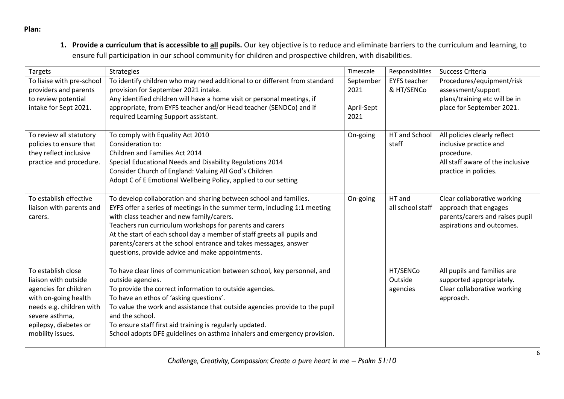#### **Plan:**

**1. Provide a curriculum that is accessible to all pupils.** Our key objective is to reduce and eliminate barriers to the curriculum and learning, to ensure full participation in our school community for children and prospective children, with disabilities.

| Targets                   | <b>Strategies</b>                                                           | Timescale  | Responsibilities    | Success Criteria                 |
|---------------------------|-----------------------------------------------------------------------------|------------|---------------------|----------------------------------|
| To liaise with pre-school | To identify children who may need additional to or different from standard  | September  | <b>EYFS teacher</b> | Procedures/equipment/risk        |
| providers and parents     | provision for September 2021 intake.                                        | 2021       | & HT/SENCo          | assessment/support               |
| to review potential       | Any identified children will have a home visit or personal meetings, if     |            |                     | plans/training etc will be in    |
| intake for Sept 2021.     | appropriate, from EYFS teacher and/or Head teacher (SENDCo) and if          | April-Sept |                     | place for September 2021.        |
|                           | required Learning Support assistant.                                        | 2021       |                     |                                  |
|                           |                                                                             |            |                     |                                  |
| To review all statutory   | To comply with Equality Act 2010                                            | On-going   | HT and School       | All policies clearly reflect     |
| policies to ensure that   | Consideration to:                                                           |            | staff               | inclusive practice and           |
| they reflect inclusive    | Children and Families Act 2014                                              |            |                     | procedure.                       |
| practice and procedure.   | Special Educational Needs and Disability Regulations 2014                   |            |                     | All staff aware of the inclusive |
|                           | Consider Church of England: Valuing All God's Children                      |            |                     | practice in policies.            |
|                           | Adopt C of E Emotional Wellbeing Policy, applied to our setting             |            |                     |                                  |
| To establish effective    | To develop collaboration and sharing between school and families.           | On-going   | HT and              | Clear collaborative working      |
| liaison with parents and  | EYFS offer a series of meetings in the summer term, including 1:1 meeting   |            | all school staff    | approach that engages            |
| carers.                   | with class teacher and new family/carers.                                   |            |                     | parents/carers and raises pupil  |
|                           | Teachers run curriculum workshops for parents and carers                    |            |                     | aspirations and outcomes.        |
|                           | At the start of each school day a member of staff greets all pupils and     |            |                     |                                  |
|                           | parents/carers at the school entrance and takes messages, answer            |            |                     |                                  |
|                           | questions, provide advice and make appointments.                            |            |                     |                                  |
|                           |                                                                             |            |                     |                                  |
| To establish close        | To have clear lines of communication between school, key personnel, and     |            | HT/SENCo            | All pupils and families are      |
| liaison with outside      | outside agencies.                                                           |            | Outside             | supported appropriately.         |
| agencies for children     | To provide the correct information to outside agencies.                     |            | agencies            | Clear collaborative working      |
| with on-going health      | To have an ethos of 'asking questions'.                                     |            |                     | approach.                        |
| needs e.g. children with  | To value the work and assistance that outside agencies provide to the pupil |            |                     |                                  |
| severe asthma,            | and the school.                                                             |            |                     |                                  |
| epilepsy, diabetes or     | To ensure staff first aid training is regularly updated.                    |            |                     |                                  |
| mobility issues.          | School adopts DFE guidelines on asthma inhalers and emergency provision.    |            |                     |                                  |
|                           |                                                                             |            |                     |                                  |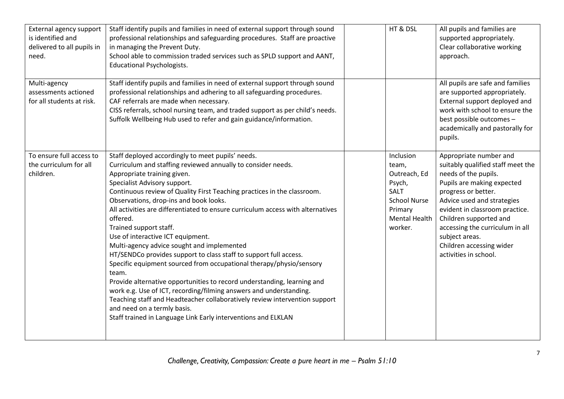| External agency support<br>is identified and<br>delivered to all pupils in<br>need. | Staff identify pupils and families in need of external support through sound<br>professional relationships and safeguarding procedures. Staff are proactive<br>in managing the Prevent Duty.<br>School able to commission traded services such as SPLD support and AANT,<br><b>Educational Psychologists.</b>                                                                                                                                                                                                                                                                                                                                                                                                                                                                                                                                                                                                                                                                                         | HT & DSL                                                                                                                         | All pupils and families are<br>supported appropriately.<br>Clear collaborative working<br>approach.                                                                                                                                                                                                                                          |
|-------------------------------------------------------------------------------------|-------------------------------------------------------------------------------------------------------------------------------------------------------------------------------------------------------------------------------------------------------------------------------------------------------------------------------------------------------------------------------------------------------------------------------------------------------------------------------------------------------------------------------------------------------------------------------------------------------------------------------------------------------------------------------------------------------------------------------------------------------------------------------------------------------------------------------------------------------------------------------------------------------------------------------------------------------------------------------------------------------|----------------------------------------------------------------------------------------------------------------------------------|----------------------------------------------------------------------------------------------------------------------------------------------------------------------------------------------------------------------------------------------------------------------------------------------------------------------------------------------|
| Multi-agency<br>assessments actioned<br>for all students at risk.                   | Staff identify pupils and families in need of external support through sound<br>professional relationships and adhering to all safeguarding procedures.<br>CAF referrals are made when necessary.<br>CISS referrals, school nursing team, and traded support as per child's needs.<br>Suffolk Wellbeing Hub used to refer and gain guidance/information.                                                                                                                                                                                                                                                                                                                                                                                                                                                                                                                                                                                                                                              |                                                                                                                                  | All pupils are safe and families<br>are supported appropriately.<br>External support deployed and<br>work with school to ensure the<br>best possible outcomes -<br>academically and pastorally for<br>pupils.                                                                                                                                |
| To ensure full access to<br>the curriculum for all<br>children.                     | Staff deployed accordingly to meet pupils' needs.<br>Curriculum and staffing reviewed annually to consider needs.<br>Appropriate training given.<br>Specialist Advisory support.<br>Continuous review of Quality First Teaching practices in the classroom.<br>Observations, drop-ins and book looks.<br>All activities are differentiated to ensure curriculum access with alternatives<br>offered.<br>Trained support staff.<br>Use of interactive ICT equipment.<br>Multi-agency advice sought and implemented<br>HT/SENDCo provides support to class staff to support full access.<br>Specific equipment sourced from occupational therapy/physio/sensory<br>team.<br>Provide alternative opportunities to record understanding, learning and<br>work e.g. Use of ICT, recording/filming answers and understanding.<br>Teaching staff and Headteacher collaboratively review intervention support<br>and need on a termly basis.<br>Staff trained in Language Link Early interventions and ELKLAN | Inclusion<br>team,<br>Outreach, Ed<br>Psych,<br><b>SALT</b><br><b>School Nurse</b><br>Primary<br><b>Mental Health</b><br>worker. | Appropriate number and<br>suitably qualified staff meet the<br>needs of the pupils.<br>Pupils are making expected<br>progress or better.<br>Advice used and strategies<br>evident in classroom practice.<br>Children supported and<br>accessing the curriculum in all<br>subject areas.<br>Children accessing wider<br>activities in school. |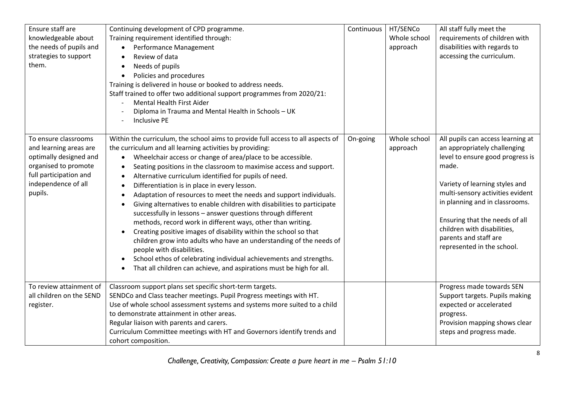| Ensure staff are<br>knowledgeable about<br>the needs of pupils and<br>strategies to support<br>them.                                                         | Continuing development of CPD programme.<br>Training requirement identified through:<br>Performance Management<br>$\bullet$<br>Review of data<br>Needs of pupils<br>$\bullet$<br>Policies and procedures<br>Training is delivered in house or booked to address needs.<br>Staff trained to offer two additional support programmes from 2020/21:<br><b>Mental Health First Aider</b><br>Diploma in Trauma and Mental Health in Schools - UK<br><b>Inclusive PE</b>                                                                                                                                                                                                                                                                                                                                                                                                                                                                                                                                                                                                                         | Continuous | HT/SENCo<br>Whole school<br>approach | All staff fully meet the<br>requirements of children with<br>disabilities with regards to<br>accessing the curriculum.                                                                                                                                                                                                                         |
|--------------------------------------------------------------------------------------------------------------------------------------------------------------|--------------------------------------------------------------------------------------------------------------------------------------------------------------------------------------------------------------------------------------------------------------------------------------------------------------------------------------------------------------------------------------------------------------------------------------------------------------------------------------------------------------------------------------------------------------------------------------------------------------------------------------------------------------------------------------------------------------------------------------------------------------------------------------------------------------------------------------------------------------------------------------------------------------------------------------------------------------------------------------------------------------------------------------------------------------------------------------------|------------|--------------------------------------|------------------------------------------------------------------------------------------------------------------------------------------------------------------------------------------------------------------------------------------------------------------------------------------------------------------------------------------------|
| To ensure classrooms<br>and learning areas are<br>optimally designed and<br>organised to promote<br>full participation and<br>independence of all<br>pupils. | Within the curriculum, the school aims to provide full access to all aspects of<br>the curriculum and all learning activities by providing:<br>Wheelchair access or change of area/place to be accessible.<br>$\bullet$<br>Seating positions in the classroom to maximise access and support.<br>$\bullet$<br>Alternative curriculum identified for pupils of need.<br>$\bullet$<br>Differentiation is in place in every lesson.<br>$\bullet$<br>Adaptation of resources to meet the needs and support individuals.<br>$\bullet$<br>Giving alternatives to enable children with disabilities to participate<br>successfully in lessons - answer questions through different<br>methods, record work in different ways, other than writing.<br>Creating positive images of disability within the school so that<br>$\bullet$<br>children grow into adults who have an understanding of the needs of<br>people with disabilities.<br>School ethos of celebrating individual achievements and strengths.<br>$\bullet$<br>That all children can achieve, and aspirations must be high for all. | On-going   | Whole school<br>approach             | All pupils can access learning at<br>an appropriately challenging<br>level to ensure good progress is<br>made.<br>Variety of learning styles and<br>multi-sensory activities evident<br>in planning and in classrooms.<br>Ensuring that the needs of all<br>children with disabilities,<br>parents and staff are<br>represented in the school. |
| To review attainment of<br>all children on the SEND<br>register.                                                                                             | Classroom support plans set specific short-term targets.<br>SENDCo and Class teacher meetings. Pupil Progress meetings with HT.<br>Use of whole school assessment systems and systems more suited to a child<br>to demonstrate attainment in other areas.<br>Regular liaison with parents and carers.<br>Curriculum Committee meetings with HT and Governors identify trends and<br>cohort composition.                                                                                                                                                                                                                                                                                                                                                                                                                                                                                                                                                                                                                                                                                    |            |                                      | Progress made towards SEN<br>Support targets. Pupils making<br>expected or accelerated<br>progress.<br>Provision mapping shows clear<br>steps and progress made.                                                                                                                                                                               |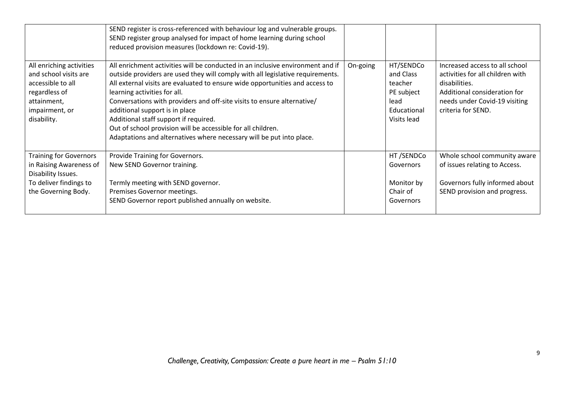|                                                                                                                                         | SEND register is cross-referenced with behaviour log and vulnerable groups.<br>SEND register group analysed for impact of home learning during school<br>reduced provision measures (lockdown re: Covid-19).                                                                                                                                                                                                                                                                                                                                                                   |          |                                                                                       |                                                                                                                                                                            |
|-----------------------------------------------------------------------------------------------------------------------------------------|--------------------------------------------------------------------------------------------------------------------------------------------------------------------------------------------------------------------------------------------------------------------------------------------------------------------------------------------------------------------------------------------------------------------------------------------------------------------------------------------------------------------------------------------------------------------------------|----------|---------------------------------------------------------------------------------------|----------------------------------------------------------------------------------------------------------------------------------------------------------------------------|
| All enriching activities<br>and school visits are<br>accessible to all<br>regardless of<br>attainment,<br>impairment, or<br>disability. | All enrichment activities will be conducted in an inclusive environment and if<br>outside providers are used they will comply with all legislative requirements.<br>All external visits are evaluated to ensure wide opportunities and access to<br>learning activities for all.<br>Conversations with providers and off-site visits to ensure alternative/<br>additional support is in place<br>Additional staff support if required.<br>Out of school provision will be accessible for all children.<br>Adaptations and alternatives where necessary will be put into place. | On-going | HT/SENDCo<br>and Class<br>teacher<br>PE subject<br>lead<br>Educational<br>Visits lead | Increased access to all school<br>activities for all children with<br>disabilities.<br>Additional consideration for<br>needs under Covid-19 visiting<br>criteria for SEND. |
| <b>Training for Governors</b><br>in Raising Awareness of<br>Disability Issues.<br>To deliver findings to<br>the Governing Body.         | Provide Training for Governors.<br>New SEND Governor training.<br>Termly meeting with SEND governor.<br>Premises Governor meetings.<br>SEND Governor report published annually on website.                                                                                                                                                                                                                                                                                                                                                                                     |          | HT/SENDCo<br>Governors<br>Monitor by<br>Chair of<br>Governors                         | Whole school community aware<br>of issues relating to Access.<br>Governors fully informed about<br>SEND provision and progress.                                            |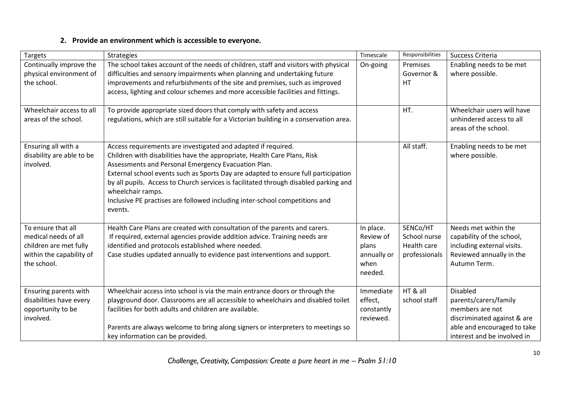## **2. Provide an environment which is accessible to everyone.**

| Targets                                                                                                         | <b>Strategies</b>                                                                                                                                                                                                                                                                                                                                                                                                                                                                             | Timescale                                                         | Responsibilities                                         | Success Criteria                                                                                                                                         |
|-----------------------------------------------------------------------------------------------------------------|-----------------------------------------------------------------------------------------------------------------------------------------------------------------------------------------------------------------------------------------------------------------------------------------------------------------------------------------------------------------------------------------------------------------------------------------------------------------------------------------------|-------------------------------------------------------------------|----------------------------------------------------------|----------------------------------------------------------------------------------------------------------------------------------------------------------|
| Continually improve the<br>physical environment of<br>the school.                                               | The school takes account of the needs of children, staff and visitors with physical<br>difficulties and sensory impairments when planning and undertaking future<br>improvements and refurbishments of the site and premises, such as improved<br>access, lighting and colour schemes and more accessible facilities and fittings.                                                                                                                                                            | On-going                                                          | Premises<br>Governor &<br>HT.                            | Enabling needs to be met<br>where possible.                                                                                                              |
| Wheelchair access to all<br>areas of the school.                                                                | To provide appropriate sized doors that comply with safety and access<br>regulations, which are still suitable for a Victorian building in a conservation area.                                                                                                                                                                                                                                                                                                                               |                                                                   | HT.                                                      | Wheelchair users will have<br>unhindered access to all<br>areas of the school.                                                                           |
| Ensuring all with a<br>disability are able to be<br>involved.                                                   | Access requirements are investigated and adapted if required.<br>Children with disabilities have the appropriate, Health Care Plans, Risk<br>Assessments and Personal Emergency Evacuation Plan.<br>External school events such as Sports Day are adapted to ensure full participation<br>by all pupils. Access to Church services is facilitated through disabled parking and<br>wheelchair ramps.<br>Inclusive PE practises are followed including inter-school competitions and<br>events. |                                                                   | All staff.                                               | Enabling needs to be met<br>where possible.                                                                                                              |
| To ensure that all<br>medical needs of all<br>children are met fully<br>within the capability of<br>the school. | Health Care Plans are created with consultation of the parents and carers.<br>If required, external agencies provide addition advice. Training needs are<br>identified and protocols established where needed.<br>Case studies updated annually to evidence past interventions and support.                                                                                                                                                                                                   | In place.<br>Review of<br>plans<br>annually or<br>when<br>needed. | SENCo/HT<br>School nurse<br>Health care<br>professionals | Needs met within the<br>capability of the school,<br>including external visits.<br>Reviewed annually in the<br>Autumn Term.                              |
| Ensuring parents with<br>disabilities have every<br>opportunity to be<br>involved.                              | Wheelchair access into school is via the main entrance doors or through the<br>playground door. Classrooms are all accessible to wheelchairs and disabled toilet<br>facilities for both adults and children are available.<br>Parents are always welcome to bring along signers or interpreters to meetings so<br>key information can be provided.                                                                                                                                            | Immediate<br>effect,<br>constantly<br>reviewed.                   | HT & all<br>school staff                                 | <b>Disabled</b><br>parents/carers/family<br>members are not<br>discriminated against & are<br>able and encouraged to take<br>interest and be involved in |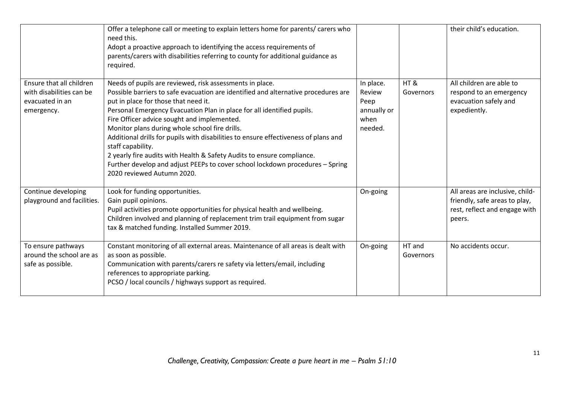|                                                                                       | Offer a telephone call or meeting to explain letters home for parents/ carers who<br>need this.<br>Adopt a proactive approach to identifying the access requirements of<br>parents/carers with disabilities referring to county for additional guidance as<br>required.                                                                                                                                                                                                                                                                                                                                                                                                |                                                               |                     | their child's education.                                                                                    |
|---------------------------------------------------------------------------------------|------------------------------------------------------------------------------------------------------------------------------------------------------------------------------------------------------------------------------------------------------------------------------------------------------------------------------------------------------------------------------------------------------------------------------------------------------------------------------------------------------------------------------------------------------------------------------------------------------------------------------------------------------------------------|---------------------------------------------------------------|---------------------|-------------------------------------------------------------------------------------------------------------|
| Ensure that all children<br>with disabilities can be<br>evacuated in an<br>emergency. | Needs of pupils are reviewed, risk assessments in place.<br>Possible barriers to safe evacuation are identified and alternative procedures are<br>put in place for those that need it.<br>Personal Emergency Evacuation Plan in place for all identified pupils.<br>Fire Officer advice sought and implemented.<br>Monitor plans during whole school fire drills.<br>Additional drills for pupils with disabilities to ensure effectiveness of plans and<br>staff capability.<br>2 yearly fire audits with Health & Safety Audits to ensure compliance.<br>Further develop and adjust PEEPs to cover school lockdown procedures - Spring<br>2020 reviewed Autumn 2020. | In place.<br>Review<br>Peep<br>annually or<br>when<br>needed. | HT&<br>Governors    | All children are able to<br>respond to an emergency<br>evacuation safely and<br>expediently.                |
| Continue developing<br>playground and facilities.                                     | Look for funding opportunities.<br>Gain pupil opinions.<br>Pupil activities promote opportunities for physical health and wellbeing.<br>Children involved and planning of replacement trim trail equipment from sugar<br>tax & matched funding. Installed Summer 2019.                                                                                                                                                                                                                                                                                                                                                                                                 | On-going                                                      |                     | All areas are inclusive, child-<br>friendly, safe areas to play,<br>rest, reflect and engage with<br>peers. |
| To ensure pathways<br>around the school are as<br>safe as possible.                   | Constant monitoring of all external areas. Maintenance of all areas is dealt with<br>as soon as possible.<br>Communication with parents/carers re safety via letters/email, including<br>references to appropriate parking.<br>PCSO / local councils / highways support as required.                                                                                                                                                                                                                                                                                                                                                                                   | On-going                                                      | HT and<br>Governors | No accidents occur.                                                                                         |